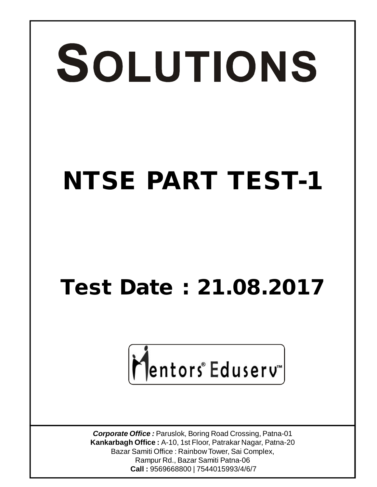# SOLUTIONS **NTSE PART TEST-1**

### **Test Date : 21.08.2017**

## Mentors<sup>®</sup> Eduserv<sup>-</sup>

*Corporate Office :* Paruslok, Boring Road Crossing, Patna-01 **Kankarbagh Office :** A-10, 1st Floor, Patrakar Nagar, Patna-20 Bazar Samiti Office : Rainbow Tower, Sai Complex, Rampur Rd., Bazar Samiti Patna-06  **Call :** 9569668800 | 7544015993/4/6/7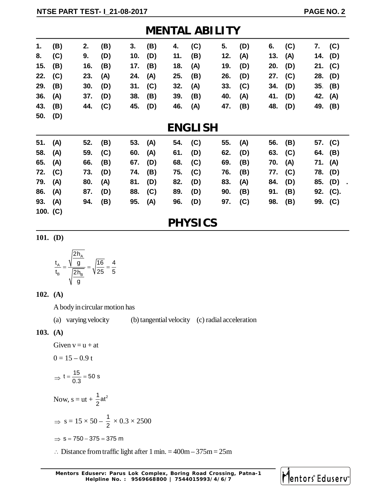|            | <b>MENTAL ABILITY</b> |     |     |     |     |     |     |     |     |     |     |         |           |
|------------|-----------------------|-----|-----|-----|-----|-----|-----|-----|-----|-----|-----|---------|-----------|
| 1.         | (B)                   | 2.  | (B) | 3.  | (B) | 4.  | (C) | 5.  | (D) | 6.  | (C) |         | 7. (C)    |
| 8.         | (C)                   | 9.  | (D) | 10. | (D) | 11. | (B) | 12. | (A) | 13. | (A) |         | 14. (D)   |
| 15.        | (B)                   | 16. | (B) | 17. | (B) | 18. | (A) | 19. | (D) | 20. | (D) |         | 21. $(C)$ |
| 22.        | (C)                   | 23. | (A) | 24. | (A) | 25. | (B) | 26. | (D) | 27. | (C) |         | 28. (D)   |
| 29.        | (B)                   | 30. | (D) | 31. | (C) | 32. | (A) | 33. | (C) | 34. | (D) |         | 35. (B)   |
| 36.        | (A)                   | 37. | (D) | 38. | (B) | 39. | (B) | 40. | (A) | 41. | (D) | 42. (A) |           |
| 43.        | (B)                   | 44. | (C) | 45. | (D) | 46. | (A) | 47. | (B) | 48. | (D) |         | 49. (B)   |
| 50.        | (D)                   |     |     |     |     |     |     |     |     |     |     |         |           |
|            | <b>ENGLISH</b>        |     |     |     |     |     |     |     |     |     |     |         |           |
| 51.        | (A)                   | 52. | (B) | 53. | (A) | 54. | (C) | 55. | (A) | 56. | (B) |         | 57. (C)   |
| 58.        | (A)                   | 59. | (C) | 60. | (A) | 61. | (D) | 62. | (D) | 63. | (C) |         | 64. (B)   |
| 65.        | (A)                   | 66. | (B) | 67. | (D) | 68. | (C) | 69. | (B) | 70. | (A) | 71. (A) |           |
| 72.        | (C)                   | 73. | (D) | 74. | (B) | 75. | (C) | 76. | (B) | 77. | (C) | 78.     | (D)       |
| 79.        | (A)                   | 80. | (A) | 81. | (D) | 82. | (D) | 83. | (A) | 84. | (D) |         | 85. (D)   |
| 86.        | (A)                   | 87. | (D) | 88. | (C) | 89. | (D) | 90. | (B) | 91. | (B) |         | 92. (C).  |
| 93.        | (A)                   | 94. | (B) | 95. | (A) | 96. | (D) | 97. | (C) | 98. | (B) |         | 99. (C)   |
| 100. $(C)$ |                       |     |     |     |     |     |     |     |     |     |     |         |           |

#### **PHYSICS**

**101. (D)**

$$
\frac{t_{A}}{t_{B}} = \frac{\sqrt{\frac{2h_{A}}{g}}}{\sqrt{\frac{2h_{B}}{g}}} = \sqrt{\frac{16}{25}} = \frac{4}{5}
$$

#### **102. (A)**

A body in circular motion has

(a) varying velocity (b) tangential velocity (c) radial acceleration

#### **103. (A)**

Given  $v = u + at$ 

$$
0=15-0.9\;t
$$

$$
\Rightarrow t = \frac{15}{0.3} = 50 \text{ s}
$$

Now, 
$$
s = ut + \frac{1}{2}at^2
$$

$$
\Rightarrow s = 15 \times 50 - \frac{1}{2} \times 0.3 \times 2500
$$

$$
\Rightarrow s = 750 - 375 = 375 \text{ m}
$$

 $\therefore$  Distance from traffic light after 1 min. = 400m – 375m = 25m

**Mentors Eduserv: Parus Lok Complex, Boring Road Crossing, Patna-1 Helpline No. : 9569668800 | 7544015993/4/6/7**

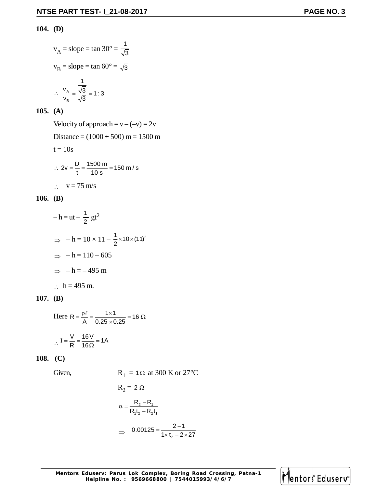#### **104. (D)**

$$
v_A = slope = tan 30^\circ = \frac{1}{\sqrt{3}}
$$
  
\n $v_B = slope = tan 60^\circ = \sqrt{3}$   
\n $\therefore \frac{v_A}{v_B} = \frac{\frac{1}{\sqrt{3}}}{\sqrt{3}} = 1:3$ 

#### **105. (A)**

Velocity of approach =  $v - (-v) = 2v$ Distance =  $(1000 + 500)$  m = 1500 m  $t = 10s$ ∴ 2v =  $\frac{D}{t}$  =  $\frac{1500 \text{ m}}{10 \text{ s}}$  = 150 m / s  $\therefore$  v = 75 m/s

#### **106. (B)**

$$
-h = ut - \frac{1}{2}gt^{2}
$$
  
\n
$$
\Rightarrow -h = 10 \times 11 - \frac{1}{2} \times 10 \times (11)^{2}
$$
  
\n
$$
\Rightarrow -h = 110 - 605
$$
  
\n
$$
\Rightarrow -h = -495 \text{ m}
$$
  
\n
$$
\therefore h = 495 \text{ m}.
$$

#### **107. (B)**

Here R = 
$$
\frac{\rho \ell}{A}
$$
 =  $\frac{1 \times 1}{0.25 \times 0.25}$  = 16  $\Omega$ 

$$
\therefore I = \frac{V}{R} = \frac{16 V}{16 \Omega} = 1 A
$$

#### **108. (C)**

Given,

$$
R_1 = 1 \Omega \text{ at } 300 \text{ K or } 27^{\circ}\text{C}
$$

R<sub>2</sub> = 2 Ω  
\n
$$
\alpha = \frac{R_2 - R_1}{R_1 t_2 - R_2 t_1}
$$
\n⇒ 0.00125 =  $\frac{2 - 1}{1 \times t_2 - 2 \times 27}$ 

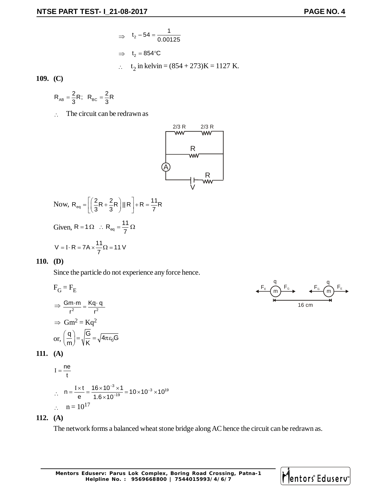⇒ 
$$
t_2 - 54 = \frac{1}{0.00125}
$$
  
\n⇒  $t_2 = 854$  °C  
\n∴  $t_2$  in kelvin =  $(854 + 273)$ K = 1127 K.

**109. (C)**

$$
R_{AB} = \frac{2}{3}R; \ \ R_{BC} = \frac{2}{3}R
$$

 $\therefore$  The circuit can be redrawn as



Now, 
$$
R_{eq} = \left[ \left( \frac{2}{3}R + \frac{2}{3}R \right) || R \right] + R = \frac{11}{7}R
$$

Given, R = 1  $\Omega$  : R<sub>eq</sub> =  $\frac{11}{7}$ 7 =1 $\Omega$  : R<sub>eq</sub> =  $\frac{1}{2}\Omega$ 

$$
V = I \cdot R = 7A \times \frac{11}{7} \Omega = 11 V
$$

#### **110. (D)**

Since the particle do not experience any force hence.

$$
F_G = F_E
$$
  
\n
$$
\Rightarrow \frac{Gm \cdot m}{r^2} = \frac{Kq \cdot q}{r^2}
$$
  
\n
$$
\Rightarrow Gm^2 = Kq^2
$$
  
\nor,  $\left(\frac{q}{m}\right) = \sqrt{\frac{G}{K}} = \sqrt{4\pi \epsilon_0 G}$ 

**111. (A)**

I = 
$$
\frac{ne}{t}
$$
  
\n
$$
\therefore n = \frac{1 \times t}{e} = \frac{16 \times 10^{-3} \times 1}{1.6 \times 10^{-19}} = 10 \times 10^{-3} \times 10^{19}
$$
\n
$$
\therefore n = 10^{17}
$$

$$
112. (A)
$$

The network forms a balanced wheat stone bridge along AC hence the circuit can be redrawn as.



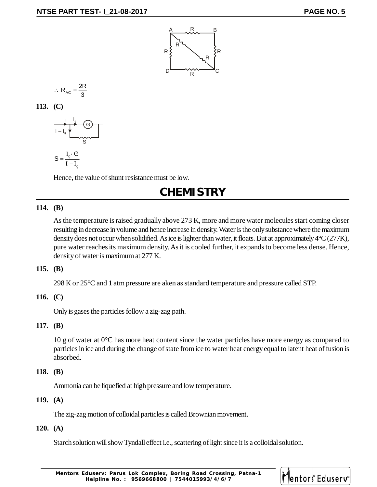

$$
\therefore R_{AC} = \frac{2R}{3}
$$

**113. (C)**

$$
S = \frac{I_g \cdot G}{I - I_g}
$$

Hence, the value of shunt resistance must be low.

#### **CHEMISTRY**

#### **114. (B)**

As the temperature is raised gradually above 273 K, more and more water molecules start coming closer resulting in decrease in volume and hence increase in density. Water is the only substance where the maximum density does not occur when solidified. As ice is lighter than water, it floats. But at approximately 4°C (277K), pure water reaches its maximum density. As it is cooled further, it expands to become less dense. Hence, density of water is maximum at 277 K.

#### **115. (B)**

298 K or 25°C and 1 atm pressure are aken as standard temperature and pressure called STP.

#### **116. (C)**

Only is gases the particles follow a zig-zag path.

#### **117. (B)**

10 g of water at  $0^{\circ}$ C has more heat content since the water particles have more energy as compared to particles in ice and during the change of state from ice to water heat energy equal to latent heat of fusion is absorbed.

#### **118. (B)**

Ammonia can be liquefied at high pressure and low temperature.

#### **119. (A)**

The zig-zag motion of colloidal particles is called Brownian movement.

#### **120. (A)**

Starch solution will show Tyndall effect i.e., scattering of light since it is a colloidal solution.

**Mentors Eduserv: Parus Lok Complex, Boring Road Crossing, Patna-1 Helpline No. : 9569668800 | 7544015993/4/6/7**

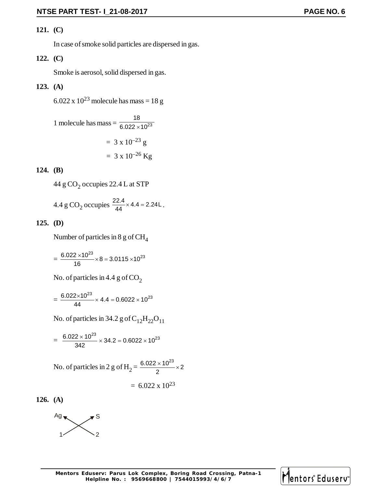#### **121. (C)**

In case of smoke solid particles are dispersed in gas.

#### **122. (C)**

Smoke is aerosol, solid dispersed in gas.

#### **123. (A)**

6.022 x  $10^{23}$  molecule has mass = 18 g

1 molecule has mass = 
$$
\frac{18}{6.022 \times 10^{23}}
$$
  
= 3 x 10<sup>-23</sup> g  
= 3 x 10<sup>-26</sup> Kg

#### **124. (B)**

44 g CO $_2$  occupies 22.4 L at STP

4.4 g CO<sub>2</sub> occupies  $\frac{22.4}{44} \times 4.4 = 2.24$ L.

#### **125. (D)**

Number of particles in 8 g of  $\text{CH}_4$ 

$$
=\frac{6.022\times10^{23}}{16}\times8=3.0115\times10^{23}
$$

No. of particles in 4.4 g of  $CO<sub>2</sub>$ 

$$
=\frac{6.022\times10^{23}}{44}\times4.4=0.6022\times10^{23}
$$

No. of particles in 34.2 g of  $C_{12}H_{22}O_{11}$ 

$$
= \frac{6.022 \times 10^{23}}{342} \times 34.2 = 0.6022 \times 10^{23}
$$

No. of particles in 2 g of H<sub>2</sub> = 
$$
\frac{6.022 \times 10^{23}}{2} \times 2
$$
  
= 6.022 x 10<sup>23</sup>

**126. (A)**



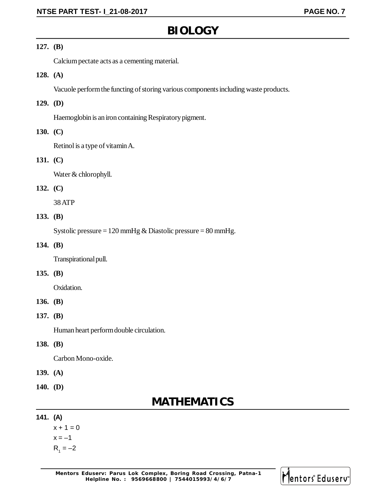#### **BIOLOGY**

#### **127. (B)**

Calcium pectate acts as a cementing material.

#### **128. (A)**

Vacuole perform the functing of storing various components including waste products.

#### **129. (D)**

Haemoglobin is an iron containing Respiratory pigment.

#### **130. (C)**

Retinol is a type of vitamin A.

#### **131. (C)**

Water & chlorophyll.

#### **132. (C)**

38 ATP

#### **133. (B)**

Systolic pressure =  $120$  mmHg & Diastolic pressure =  $80$  mmHg.

#### **134. (B)**

Transpirational pull.

#### **135. (B)**

Oxidation.

#### **136. (B)**

#### **137. (B)**

Human heart perform double circulation.

#### **138. (B)**

Carbon Mono-oxide.

- **139. (A)**
- **140. (D)**

#### **MATHEMATICS**

#### **141. (A)**

 $x + 1 = 0$  $x = -1$  $R_1 = -2$ 

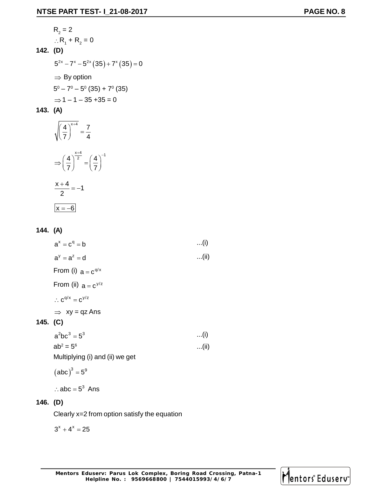R<sub>2</sub> = 2  
\n∴ R<sub>1</sub> + R<sub>2</sub> = 0  
\n142. (D)  
\n
$$
5^{2x} - 7^x - 5^{2x} (35) + 7^x (35) = 0
$$
\n⇒ By option  
\n
$$
5^0 - 7^0 - 5^0 (35) + 7^0 (35)
$$
\n⇒ 1 - 1 - 35 + 35 = 0

**143. (A)**

$$
\sqrt{\left(\frac{4}{7}\right)^{x+4}} = \frac{7}{4}
$$

$$
\Rightarrow \left(\frac{4}{7}\right)^{\frac{x+4}{2}} = \left(\frac{4}{7}\right)^{-1}
$$

$$
\frac{x+4}{2} = -1
$$

$$
x = -6
$$

$$
144. (A)
$$

$$
a^{x} = c^{q} = b \qquad ...(i)
$$
\n
$$
a^{y} = a^{z} = d \qquad ...(ii)
$$
\nFrom (i)  $a = c^{q/x}$ \nFrom (ii)  $a = c^{y/z}$ \n
$$
\therefore c^{q/x} = c^{y/z}
$$
\n
$$
\Rightarrow xy = qz \text{ Ans}
$$
\n(C)\n
$$
a^{2}bc^{3} = 5^{3} \qquad ...(i)
$$
\n
$$
ab^{2} = 5^{6} \qquad ...(ii)
$$
\nMultiplying (i) and (ii) we get\n
$$
(abc)^{3} = 5^{9}
$$

$$
\therefore abc = 5^3 \text{ Ans}
$$

#### **146. (D)**

**145. (C)**

Clearly x=2 from option satisfy the equation

 $3^x + 4^x = 25$ 

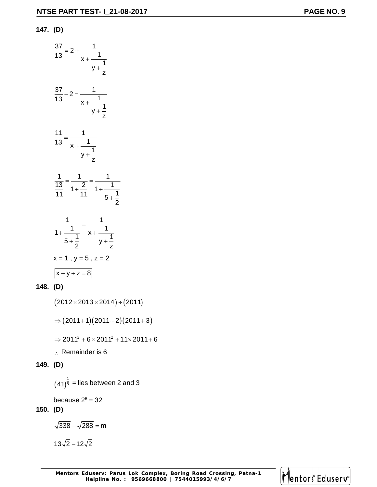#### **147. (D)**

| $rac{37}{13} = 2 + \frac{1}{x + \frac{1}{y + \frac{1}{z}}}$    |                                                                                     |
|----------------------------------------------------------------|-------------------------------------------------------------------------------------|
| $\frac{37}{13} - 2 = \frac{1}{x + \frac{1}{y + \frac{1}{z}}}}$ |                                                                                     |
| $\frac{11}{13} = \frac{1}{x + \frac{1}{y + \frac{1}{z}}}$      |                                                                                     |
|                                                                | $rac{1}{13} = \frac{1}{1 + \frac{2}{11}} = \frac{1}{1 + \frac{1}{5 + \frac{1}{2}}}$ |
|                                                                | $rac{1}{1+\frac{1}{5+\frac{1}{2}}} = \frac{1}{x+\frac{1}{y+\frac{1}{z}}}$           |
| $x + y + z = 8$                                                | $x = 1$ , $y = 5$ , $z = 2$                                                         |

$$
148. (D)
$$

 $(2012 \times 2013 \times 2014) \div (2011)$ 

$$
\Rightarrow (2011+1)(2011+2)(2011+3)
$$

$$
\Rightarrow 2011^3 + 6 \times 2011^2 + 11 \times 2011 + 6
$$

 $\therefore$  Remainder is 6

#### **149. (D)**

$$
(41)^{\frac{1}{5}}
$$
 = lies between 2 and 3

because 2 $5$  = 32

#### **150. (D)**

$$
\sqrt{338}-\sqrt{288}=m
$$

$$
13\sqrt{2}-12\sqrt{2}
$$

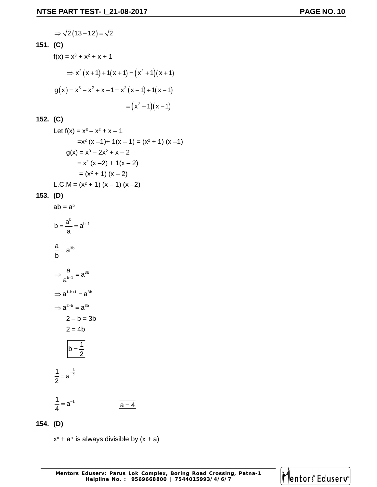$$
\Rightarrow \sqrt{2(13-12)} = \sqrt{2}
$$
  
**151.** (C)  

$$
f(x) = x^3 + x^2 + x + 1
$$

$$
\Rightarrow x^2(x+1) + 1(x+1) = (x^2 + 1)(x+1)
$$

$$
g(x) = x^3 - x^2 + x - 1 = x^2(x-1) + 1(x-1)
$$

$$
= (x^2 + 1)(x-1)
$$

$$
152. (C)
$$

Let 
$$
f(x) = x^3 - x^2 + x - 1
$$
  
\n
$$
= x^2 (x - 1) + 1(x - 1) = (x^2 + 1) (x - 1)
$$
\n
$$
g(x) = x^3 - 2x^2 + x - 2
$$
\n
$$
= x^2 (x - 2) + 1(x - 2)
$$
\n
$$
= (x^2 + 1) (x - 2)
$$
\nL.C.M =  $(x^2 + 1) (x - 1) (x - 2)$ 

**153. (D)**

$$
ab = a^{b}
$$
\n
$$
b = \frac{a^{b}}{a} = a^{b-1}
$$
\n
$$
\frac{a}{b} = a^{3b}
$$
\n
$$
\Rightarrow \frac{a}{a^{b-1}} = a^{3b}
$$
\n
$$
\Rightarrow a^{1-b+1} = a^{3b}
$$
\n
$$
2 - b = 3b
$$
\n
$$
2 = 4b
$$
\n
$$
b = \frac{1}{2}
$$
\n
$$
\frac{1}{2} = a^{-\frac{1}{2}}
$$
\n
$$
\frac{1}{4} = a^{-1}
$$

**154. (D)**

 $x<sup>n</sup> + a<sup>n</sup>$  is always divisible by  $(x + a)$ 

 $a = 4$ 

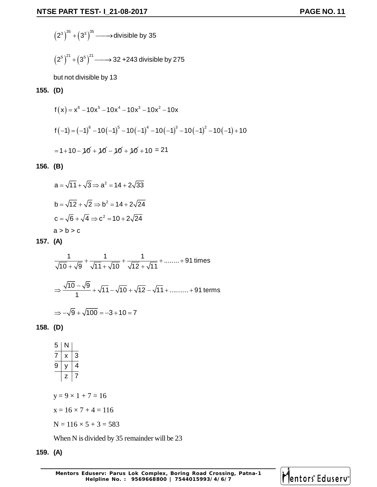$$
(2^3)^{35} + (3^3)^{35} \longrightarrow \text{divisible by 35}
$$

$$
\left(2^5\right)^{21}+\left(3^5\right)^{21}\longrightarrow 32+243 \text{ divisible by } 275
$$

but not divisible by 13

#### **155. (D)**

$$
f(x) = x^{6} - 10x^{5} - 10x^{4} - 10x^{3} - 10x^{2} - 10x
$$
  

$$
f(-1) = (-1)^{6} - 10(-1)^{5} - 10(-1)^{4} - 10(-1)^{3} - 10(-1)^{2} - 10(-1) + 10
$$
  

$$
= 1 + 10 - 10 + 10 - 10 + 10 - 10 + 10 = 21
$$

#### **156. (B)**

$$
a = \sqrt{11} + \sqrt{3} \Rightarrow a^2 = 14 + 2\sqrt{33}
$$
  
\n
$$
b = \sqrt{12} + \sqrt{2} \Rightarrow b^2 = 14 + 2\sqrt{24}
$$
  
\n
$$
c = \sqrt{6} + \sqrt{4} \Rightarrow c^2 = 10 + 2\sqrt{24}
$$
  
\n
$$
a > b > c
$$

#### **157. (A)**

$$
\frac{1}{\sqrt{10} + \sqrt{9}} + \frac{1}{\sqrt{11} + \sqrt{10}} + \frac{1}{\sqrt{12} + \sqrt{11}} + \dots + 91 \text{ times}
$$
  

$$
\Rightarrow \frac{\sqrt{10} - \sqrt{9}}{1} + \sqrt{11} - \sqrt{10} + \sqrt{12} - \sqrt{11} + \dots + 91 \text{ terms}
$$
  

$$
\Rightarrow -\sqrt{9} + \sqrt{100} = -3 + 10 = 7
$$

#### **158. (D)**

| 5 |   |
|---|---|
| ı | 3 |
| g |   |
|   |   |

 $y = 9 \times 1 + 7 = 16$ 

- $x = 16 \times 7 + 4 = 116$
- $N = 116 \times 5 + 3 = 583$

When N is divided by 35 remainder will be 23

#### **159. (A)**